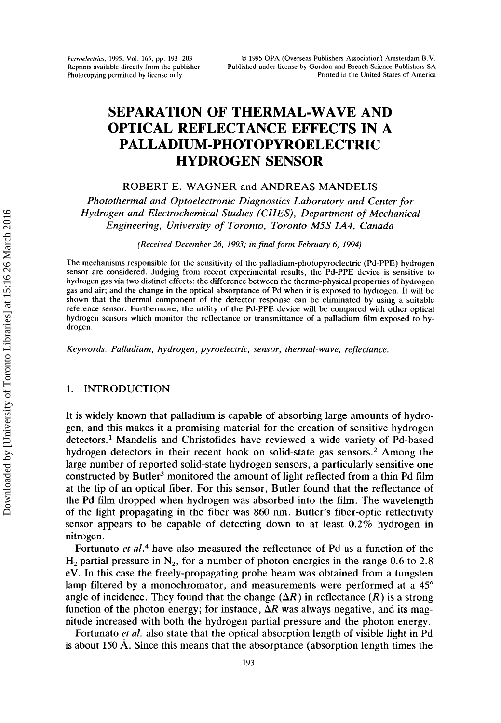# **SEPARATION OF THERMAL-WAVE AND OPTICAL REFLECTANCE EFFECTS IN A HYDROGEN SENSOR PALLADIIJM-PHOTOPYROELECTRIC**

## ROBERT E. WAGNER and ANDREAS MANDELIS

*Photothermal and Optoelectronic Diagnostics Laboratory and Center for Hydrogen and Electrochemical Studies (CHES), Department of Mechanical Engineering, University of Toronto, Toronto M5S lA4, Canada* 

*(Received December 26, 1993; in final form February 6, 1994)* 

**The mechanisms responsible for the sensitivity of the** palladium-photopyroelectric **(Pd-PPE) hydrogen sensor are considered. Judging from recent experimental results, the Pd-PPE device is sensitive to hydrogen gas via two distinct effects: the difference between the thermo-physical properties of hydrogen gas and air; and the change in the optical absorptance of Pd when it is exposed to hydrogen. It will be shown that the thermal component of the detector response can be eliminated by using a suitable reference sensor. Furthermore, the utility of the Pd-PPE device will be compared with other optical hydrogen sensors which monitor the reflectance** or **transmittance of a palladium film exposed to hydrogen.** 

*Keywords: Palladium, hydrogen, pyroelectric, sensor, thermal-wave, reflectance.* 

# 1. INTRODUCTION

It is widely known that palladium is capable of absorbing large amounts of hydrogen, and this makes it a promising material for the creation of sensitive hydrogen detectors.<sup>1</sup> Mandelis and Christofides have reviewed a wide variety of Pd-based hydrogen detectors in their recent book on solid-state gas sensors.2 Among the large number of reported solid-state hydrogen sensors, a particularly sensitive one constructed by Butler3 monitored the amount of light reflected from a thin Pd film at the tip of an optical fiber. For this sensor, Butler found that the reflectance of the Pd film dropped when hydrogen was absorbed into the film. The wavelength of the light propagating in the fiber was 860 nm. Butler's fiber-optic reflectivity sensor appears to be capable of detecting down to at least 0.2% hydrogen in nitrogen.

Fortunato *et aL4* have also measured the reflectance of Pd as a function of the  $H_2$  partial pressure in  $N_2$ , for a number of photon energies in the range 0.6 to 2.8 eV. In this case the freely-propagating probe beam was obtained from a tungsten lamp filtered by a monochromator, and measurements were performed at a  $45^{\circ}$ angle of incidence. They found that the change  $(\Delta R)$  in reflectance  $(R)$  is a strong function of the photon energy; for instance,  $\Delta R$  was always negative, and its magnitude increased with both the hydrogen partial pressure and the photon energy.

Fortunato et *al.* also state that the optical absorption length of visible light in Pd is about 150  $\AA$ . Since this means that the absorptance (absorption length times the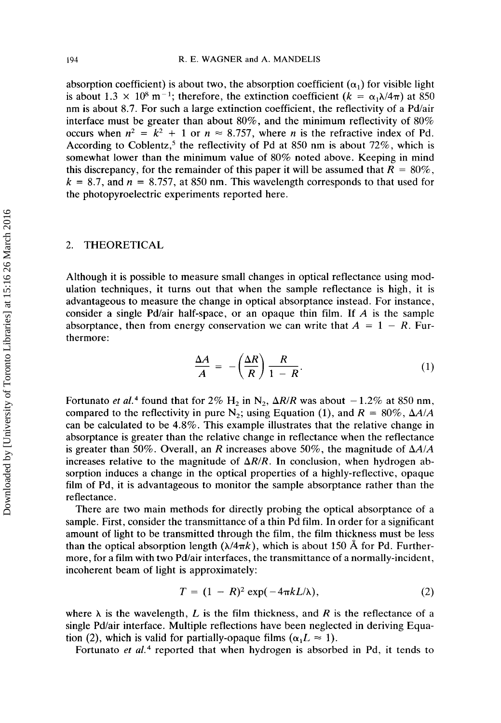absorption coefficient) is about two, the absorption coefficient  $(\alpha_1)$  for visible light is about 1.3  $\times$  10<sup>8</sup> m<sup>-1</sup>; therefore, the extinction coefficient ( $k = \alpha_1 \lambda/4\pi$ ) at 850 nm is about *8.7.* For such a large extinction coefficient, the reflectivity of a Pd/air interface must be greater than about 80%, and the minimum reflectivity of *80%*  occurs when  $n^2 = k^2 + 1$  or  $n \approx 8.757$ , where *n* is the refractive index of Pd. According to Coblentz,<sup>5</sup> the reflectivity of Pd at 850 nm is about 72%, which is somewhat lower than the minimum value of *80%* noted above. Keeping in mind this discrepancy, for the remainder of this paper it will be assumed that  $R = 80\%$ ,  $k = 8.7$ , and  $n = 8.757$ , at 850 nm. This wavelength corresponds to that used for the photopyroelectric experiments reported here.

## 2. THEORETICAL

Although it is possible to measure small changes in optical reflectance using modulation techniques, it turns out that when the sample reflectance is high, it is advantageous to measure the change in optical absorptance instead. For instance, consider a single Pd/air half-space, or an opaque thin film. If *A* is the sample absorptance, then from energy conservation we can write that  $A = 1 - R$ . Furthermore:

$$
\frac{\Delta A}{A} = -\left(\frac{\Delta R}{R}\right)\frac{R}{1 - R}.\tag{1}
$$

Fortunato *et al.*<sup>4</sup> found that for 2%  $H_2$  in N<sub>2</sub>,  $\Delta R/R$  was about  $-1.2\%$  at 850 nm, compared to the reflectivity in pure  $N_2$ ; using Equation (1), and  $R = 80\%$ ,  $\Delta A/A$ can be calculated to be *4.8%.* This example illustrates that the relative change in absorptance is greater than the relative change in reflectance when the reflectance is greater than 50%. Overall, an *R* increases above *50%,* the magnitude of *AAIA*  increases relative to the magnitude of  $\Delta R/R$ . In conclusion, when hydrogen absorption induces a change in the optical properties of a highly-reflective, opaque film of Pd, it is advantageous to monitor the sample absorptance rather than the reflectance.

There are two main methods for directly probing the optical absorptance of a sample. First, consider the transmittance of a thin Pd film. In order for a significant amount of light to be transmitted through the film, the film thickness must be less than the optical absorption length  $(\lambda/4\pi k)$ , which is about 150 Å for Pd. Furthermore, for a film with two Pd/air interfaces, the transmittance of a normally-incident, incoherent beam of light is approximately:

$$
T = (1 - R)^2 \exp(-4\pi k L/\lambda), \qquad (2)
$$

where  $\lambda$  is the wavelength, *L* is the film thickness, and *R* is the reflectance of a single Pd/air interface. Multiple reflections have been neglected in deriving Equation (2), which is valid for partially-opaque films  $(\alpha_1 L \approx 1)$ .

Fortunato *et aL4* reported that when hydrogen is absorbed in Pd, it tends to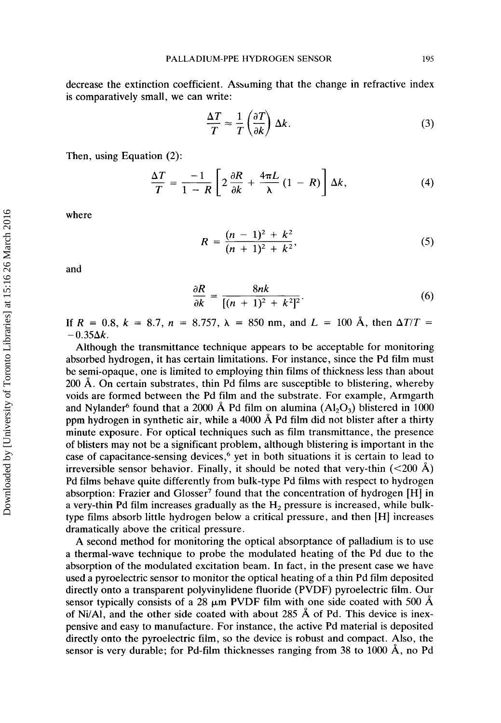decrease the extinction coefficient. Assuming that the change in refractive index is comparatively small, we can write:

$$
\frac{\Delta T}{T} \approx \frac{1}{T} \left( \frac{\partial T}{\partial k} \right) \Delta k. \tag{3}
$$

Then, using Equation *(2):* 

$$
\frac{\Delta T}{T} = \frac{-1}{1 - R} \left[ 2 \frac{\partial R}{\partial k} + \frac{4 \pi L}{\lambda} (1 - R) \right] \Delta k, \tag{4}
$$

where

$$
R = \frac{(n-1)^2 + k^2}{(n+1)^2 + k^2},\tag{5}
$$

and

$$
\frac{\partial R}{\partial k} = \frac{8nk}{[(n+1)^2 + k^2]^2}.
$$
 (6)

If  $R = 0.8$ ,  $k = 8.7$ ,  $n = 8.757$ ,  $\lambda = 850$  nm, and  $L = 100$  Å, then  $\Delta T/T =$  $-0.35\Delta k$ .

Although the transmittance technique appears to be acceptable for monitoring absorbed hydrogen, it has certain limitations. For instance, since the Pd film must be semi-opaque, one is limited to employing thin films of thickness less than about 200 **A.** On certain substrates, thin Pd films are susceptible to blistering, whereby voids are formed between the Pd film and the substrate. For example, Armgarth and Nylander<sup>6</sup> found that a 2000 Å Pd film on alumina  $(A_1A_2O_3)$  blistered in 1000 ppm hydrogen in synthetic air, while a 4000 A Pd film did not blister after a thirty minute exposure. For optical techniques such as film transmittance, the presence of blisters may not be a significant problem, although blistering is important in the case of capacitance-sensing devices,<sup>6</sup> yet in both situations it is certain to lead to irreversible sensor behavior. Finally, it should be noted that very-thin (<200 **A)**  Pd films behave quite differently from bulk-type Pd films with respect to hydrogen absorption: Frazier and Glosser' found that the concentration of hydrogen [HI in a very-thin Pd film increases gradually as the **H,** pressure is increased, while bulktype films absorb little hydrogen below a critical pressure, and then [HI increases dramatically above the critical pressure.

A second method for monitoring the optical absorptance of palladium is to use a thermal-wave technique to probe the modulated heating of the Pd due to the absorption of the modulated excitation beam. In fact, in the present case we have used a pyroelectric sensor to monitor the optical heating of a thin Pd film deposited directly onto a transparent polyvinylidene fluoride (PVDF) pyroelectric film. Our sensor typically consists of a 28  $\mu$ m PVDF film with one side coated with 500  $\AA$ of Ni/Al, and the other sicle coated with about *285* **A** of Pd. This device is inexpensive and easy to manufacture. For instance, the active Pd material is deposited directly onto the pyroelectric film, so the device is robust and compact. Also, the sensor is very durable; for Pd-film thicknesses ranging from *38* to 1000 A, no Pd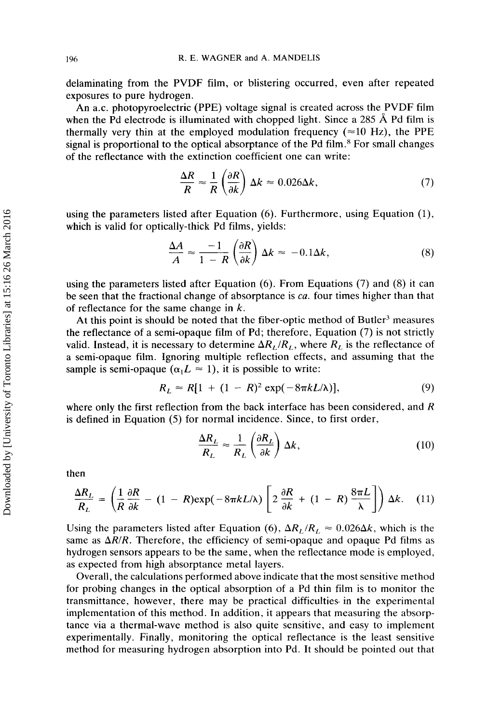delaminating from the PVDF film, or blistering occurred, even after repeated exposures to pure hydrogen.

An a.c. photopyroelectric (PPE) voltage signal is created across the PVDF film when the Pd electrode is illuminated with chopped light. Since a 285  $\AA$  Pd film is thermally very thin at the employed modulation frequency  $(\approx 10 \text{ Hz})$ , the PPE signal is proportional to the optical absorptance of the Pd film.<sup>8</sup> For small changes of the reflectance with the extinction coefficient one can write:

$$
\frac{\Delta R}{R} \approx \frac{1}{R} \left( \frac{\partial R}{\partial k} \right) \Delta k \approx 0.026 \Delta k, \tag{7}
$$

using the parameters listed after Equation (6). Furthermore, using Equation (l), which is valid for optically-thick Pd films, yields:

$$
\frac{\Delta R}{R} \approx \frac{1}{R} \left( \frac{\partial R}{\partial k} \right) \Delta k \approx 0.026 \Delta k, \qquad (7)
$$
  
\nisted after Equation (6). Furthermore, using Equation (1),  
\nally-thick Pd films, yields:  
\n
$$
\frac{\Delta A}{A} \approx \frac{-1}{1 - R} \left( \frac{\partial R}{\partial k} \right) \Delta k \approx -0.1 \Delta k, \qquad (8)
$$

using the parameters listed after Equation (6). From Equations (7) and (8) it can be seen that the fractional change of absorptance is *ca.* four times higher than that of reflectance for the same change in  $k$ .

At this point is should be noted that the fiber-optic method of Butler<sup>3</sup> measures the reflectance of a semi-opaque film of Pd; therefore, Equation (7) is not strictly valid. Instead, it is necessary to determine  $\Delta R_L/R_L$ , where  $R_L$  is the reflectance of a semi-opaque film. Ignoring multiple reflection effects, and assuming that the sample is semi-opaque  $(\alpha_1 L \approx 1)$ , it is possible to write:

$$
R_L \approx R[1 + (1 - R)^2 \exp(-8\pi k L/\lambda)],
$$
 (9)

where only the first reflection from the back interface has been considered, and R is defined in Equation (5) for normal incidence. Since, to first order,

$$
\frac{\Delta R_L}{R_L} \approx \frac{1}{R_L} \left( \frac{\partial R_L}{\partial k} \right) \Delta k, \tag{10}
$$

then

$$
R_L \stackrel{\sim}{\sim} R_L \left(\frac{\partial k}{\partial k}\right)^{\Delta k},
$$
\nthen

\n
$$
\frac{\Delta R_L}{R_L} = \left(\frac{1}{R} \frac{\partial R}{\partial k} - (1 - R) \exp(-8\pi k L/\lambda) \left[2 \frac{\partial R}{\partial k} + (1 - R) \frac{8\pi L}{\lambda}\right]\right) \Delta k.
$$
\n(11)

Using the parameters listed after Equation (6),  $\Delta R_L/R_L \approx 0.026 \Delta k$ , which is the same as  $\Delta R/R$ . Therefore, the efficiency of semi-opaque and opaque Pd films as hydrogen sensors appears to be the same, when the reflectance mode is employed, as expected from high absorptance metal layers.

Overall, the calculations performed above indicate that the most sensitive method for probing changes in the optical absorption of a Pd thin film is to monitor the transmittance, however, there may be practical difficulties. in the experimental implementation of this method. In addition, it appears that measuring the absorptance via a thermal-wave method is also quite sensitive, and easy to implement experimentally. Finally, monitoring the optical reflectance is the least sensitive method for measuring hydrogen absorption into Pd. It should be pointed out that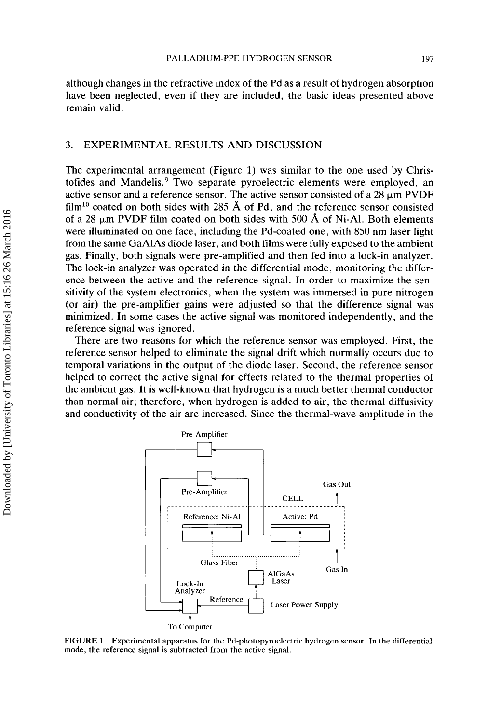although changes in the refractive index of the Pd as a result of hydrogen absorption have been neglected, even if they are included, the basic ideas presented above remain valid.

## **3.** EXPERIMENTAL RESULTS AND DISCUSSION

The experimental arrangement (Figure 1) was similar to the one used by Christofides and Mandelis.<sup>9</sup> Two separate pyroelectric elements were employed, an active sensor and a reference sensor. The active sensor consisted of a 28  $\mu$ m PVDF film<sup>10</sup> coated on both sides with 285  $\AA$  of Pd, and the reference sensor consisted of a 28  $\mu$ m PVDF film coated on both sides with 500 Å of Ni-Al. Both elements were illuminated on one face, including the Pd-coated one, with 850 nm laser light from the same GaAlAs diode laser, and both films were fully exposed to the ambient gas. Finally, both signals were pre-amplified and then fed into a lock-in analyzer. The lock-in analyzer was operated in the differential mode, monitoring the difference between the active and the reference signal. In order to maximize the sensitivity of the system electronics, when the system was immersed in pure nitrogen (or air) the pre-amplifier gains were adjusted so that the difference signal was minimized. In some cases the active signal was monitored independently, and the reference signal was ignored.

There are two reasons for which the reference sensor was employed. First, the reference sensor helped to eliminate the signal drift which normally occurs due to temporal variations in the output of the diode laser. Second, the reference sensor helped to correct the active signal for effects related to the thermal properties of the ambient gas. It is well-known that hydrogen is a much better thermal conductor than normal air; therefore, when hydrogen is added to air, the thermal diffusivity and conductivity of the air are increased. Since the thermal-wave amplitude in the cive and the reference signal. In order to<br>citive and the reference signal. In order to<br>n electronics, when the system was immerse<br>plifier gains were adjusted so that the diff<br>cases the active signal was monitored indep<br>si



**FIGURE 1 Experimental apparatus for the Pd-photopyroelectric hydrogen sensor.** In **the differential mode, the reference signal is subtracted from the active signal.**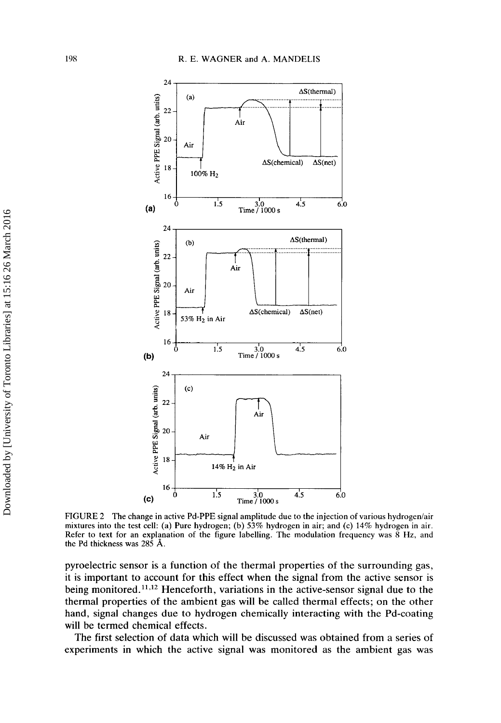

FIGURE 2 The change in active Pd-PPE signal amplitude due to the injection of various hydrogen/air mixtures into the test cell: (a) Pure hydrogen; (b) 53% hydrogen in air; and (c) **14%** hydrogen in air. Refer to text for an explanation of the figure labelling. The modulation frequency was 8 **Hz,** and the Pd thickness was 285 **A.** 

pyroelectric sensor is a function of the thermal properties of the surrounding gas, it is important to account for this effect when the signal from the active sensor is being monitored. **11,12** Henceforth, variations in the active-sensor signal due to the thermal properties of the ambient gas will be called thermal effects; on the other hand, signal changes due to hydrogen chemically interacting with the Pd-coating will be termed chemical effects.

The first selection of data which will be discussed was obtained from a series of experiments in which the active signal was monitored as the ambient gas was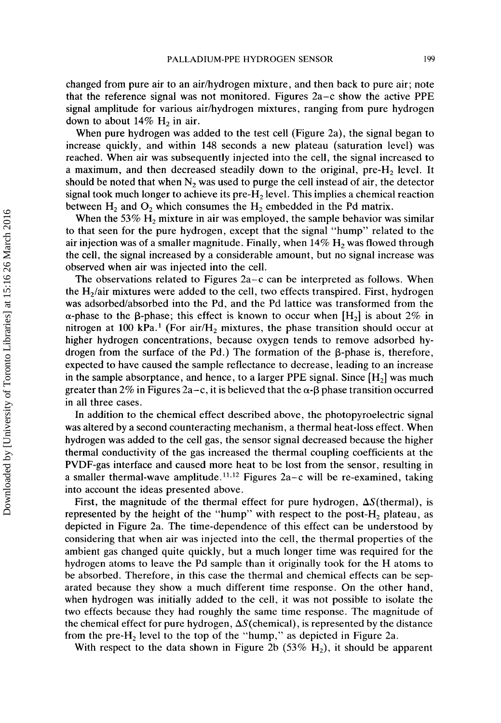changed from pure air to an air/hydrogen mixture, and then back to pure air; note that the reference signal was not monitored. Figures 2a-c show the active PPE signal amplitude for various air/hydrogen mixtures, ranging from pure hydrogen down to about  $14\%$  H<sub>2</sub> in air.

When pure hydrogen was added to the test cell (Figure 2a), the signal began to increase quickly, and within **148** seconds **a** new plateau (saturation level) was reached. When air was subsequently injected into the cell, the signal increased to a maximum, and then decreased steadily down to the original,  $pre-H_2$  level. It should be noted that when  $N_2$  was used to purge the cell instead of air, the detector signal took much longer to achieve its pre- $H_2$  level. This implies a chemical reaction between  $H_2$  and  $O_2$  which consumes the  $H_2$  embedded in the Pd matrix.

When the 53%  $H_2$  mixture in air was employed, the sample behavior was similar to that seen for the pure hydrogen, except that the signal "hump" related to the air injection was of a smaller magnitude. Finally, when **14%** H, was flowed through the cell, the signal increased by a considerable amount, but no signal increase was observed when air was injected into the cell.

The observations related to Figures  $2a-c$  can be interpreted as follows. When the  $H<sub>2</sub>/air mixtures were added to the cell, two effects transpired. First, hydrogen$ was adsorbed/absorbed into the Pd, and the Pd lattice was transformed from the  $\alpha$ -phase to the  $\beta$ -phase; this effect is known to occur when [H<sub>2</sub>] is about 2\% in nitrogen at 100 kPa.<sup>1</sup> (For air/ $H_2$  mixtures, the phase transition should occur at higher hydrogen concentrations, because oxygen tends to remove adsorbed hydrogen from the surface of the Pd.) The formation of the  $\beta$ -phase is, therefore, expected to have caused the sample reflectance to decrease, leading to an increase in the sample absorptance, and hence, to a larger PPE signal. Since  $[H_2]$  was much greater than 2% in Figures 2a–c, it is believed that the  $\alpha$ - $\beta$  phase transition occurred in all three cases.

In addition to the chemical effect described above, the photopyroelectric signal was altered by a second counteracting mechanism, a thermal heat-loss effect. When hydrogen was added to the cell gas, the sensor signal decreased because the higher thermal conductivity of the gas increased the thermal coupling coefficients at the PVDF-gas interface and caused more heat to be lost from the sensor, resulting in a smaller thermal-wave amplitude.<sup>11,12</sup> Figures 2a-c will be re-examined, taking into account the ideas presented above.

First, the magnitude of the thermal effect for pure hydrogen,  $\Delta S$ (thermal), is represented by the height of the "hump" with respect to the post- $H_2$  plateau, as depicted in Figure 2a. The time-dependence of this effect can be understood by considering that when air was injected into the cell, the thermal properties **of** the ambient gas changed quite quickly, but a much longer time **was** required for the hydrogen atoms to leave the Pd sample than it originally took for the H atoms to be absorbed. Therefore, in this case the thermal and chemical effects can be separated because they show a much different time response. On the other hand, when hydrogen was initially added to the cell, it was not possible to isolate the two effects because they had roughly the same time response. The magnitude of the chemical effect for pure hydrogen,  $\Delta S$ (chemical), is represented by the distance from the pre- $H_2$  level to the top of the "hump," as depicted in Figure 2a.

With respect to the data shown in Figure 2b  $(53\% \text{ H}_2)$ , it should be apparent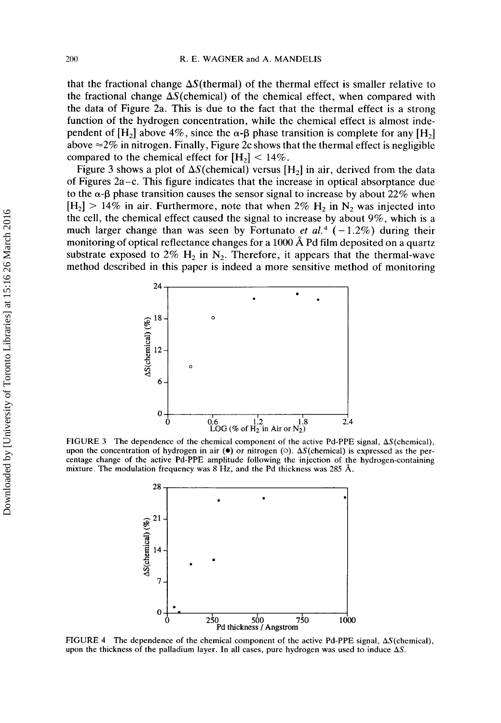that the fractional change  $\Delta S$ (thermal) of the thermal effect is smaller relative to the fractional change  $\Delta S$ (chemical) of the chemical effect, when compared with the data of Figure 2a. This is due to the fact that the thermal effect is a strong function of the hydrogen concentration, while the chemical effect is almost independent of  $[H_2]$  above 4%, since the  $\alpha$ - $\beta$  phase transition is complete for any  $[H_2]$ above  $\approx$  2% in nitrogen. Finally, Figure 2c shows that the thermal effect is negligible compared to the chemical effect for  $[H_2]$  < 14%.

Figure 3 shows a plot of  $\Delta S$ (chemical) versus [H<sub>2</sub>] in air, derived from the data of Figures 2a-c. This figure indicates that the increase in optical absorptance due to the  $\alpha$ - $\beta$  phase transition causes the sensor signal to increase by about 22% when  $[H_2]$  > 14% in air. Furthermore, note that when 2%  $H_2$  in N<sub>2</sub> was injected into the cell, the chemical effect caused the signal to increase by about **9%,** which is a much larger change than was seen by Fortunato *et al.*<sup>4</sup> ( $-1.2\%$ ) during their monitoring of optical reflectance changes for a 1000 A Pd film deposited on a quartz substrate exposed to  $2\%$  H<sub>2</sub> in N<sub>2</sub>. Therefore, it appears that the thermal-wave method described in this paper is indeed a more sensitive method of monitoring



FIGURE 3 The dependence of the chemical component of the active Pd-PPE signal,  $\Delta S$ (chemical), upon the concentration of hydrogen in air *(0)* or nitrogen *(0).* AS(chemica1) is expressed as the percentage change of the active Pd-PPE amplitude following the injection of the hydrogen-containing mixture. The modulation frequency was 8 Hz, and the Pd thickness was *285* **A.** 



FIGURE 4 The dependence of the chemical component of the active Pd-PPE signal,  $\Delta S$ (chemical), upon the thickness of the palladium layer. In all cases, pure hydrogen was used to induce  $\Delta S$ .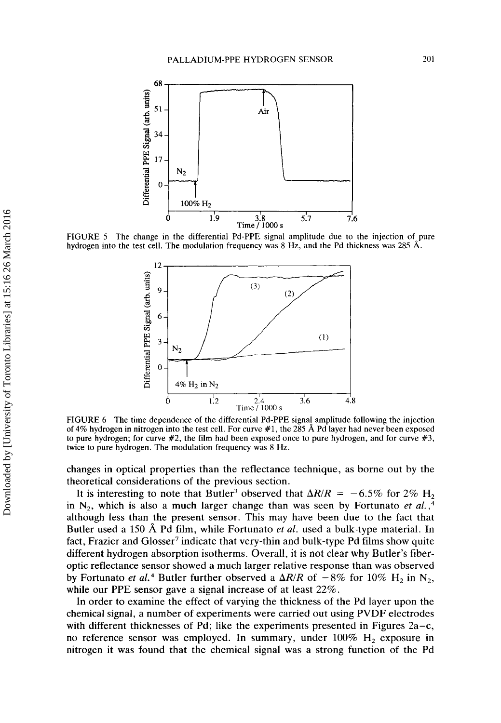

FIGURE 5 The change in the differential Pd-PPE signal amplitude due to the injection of pure hydrogen into the test cell. The modulation frequency was 8 Hz, and the Pd thickness was 285 **A.** 



FIGURE 6 The time dependence of the differential Pd-PPE signal amplitude following the injection of **4%** hydrogen in nitrogen into the test cell. For curve #1, the 285 **A** Pd layer had never been exposed to pure hydrogen; for curve  $#2$ , the film had been exposed once to pure hydrogen, and for curve  $#3$ , twice to pure hydrogen. The modulation frequency was 8 Hz.

changes in optical properties than the reflectance technique, as borne out by the theoretical considerations of the previous section.

It is interesting to note that Butler<sup>3</sup> observed that  $\Delta R/R = -6.5\%$  for 2% H<sub>2</sub> in  $N_2$ , which is also a much larger change than was seen by Fortunato *et al.*,<sup>4</sup> although less than the present sensor. This may have been due to the fact that Butler used a 150 **A** Pd film, while Fortunato *et af.* used a bulk-type material. In fact, Frazier and Glosser<sup>7</sup> indicate that very-thin and bulk-type Pd films show quite different hydrogen absorption isotherms. Overall, it is not clear why Butler's fiberoptic reflectance sensor showed a much larger relative response than was observed by Fortunato *et al.*<sup>4</sup> Butler further observed a  $\Delta R/R$  of  $-8\%$  for 10% H<sub>2</sub> in N<sub>2</sub>, while our PPE sensor gave a signal increase of at least 22%.

In order to examine the effect of varying the thickness of the Pd layer upon the chemical signal, **a** number of experiments were carried out using PVDF electrodes with different thicknesses of Pd; like the experiments presented in Figures  $2a-c$ , no reference sensor was employed. In summary, under 100% H, exposure in nitrogen it was found that the chemical signal was a strong function of the Pd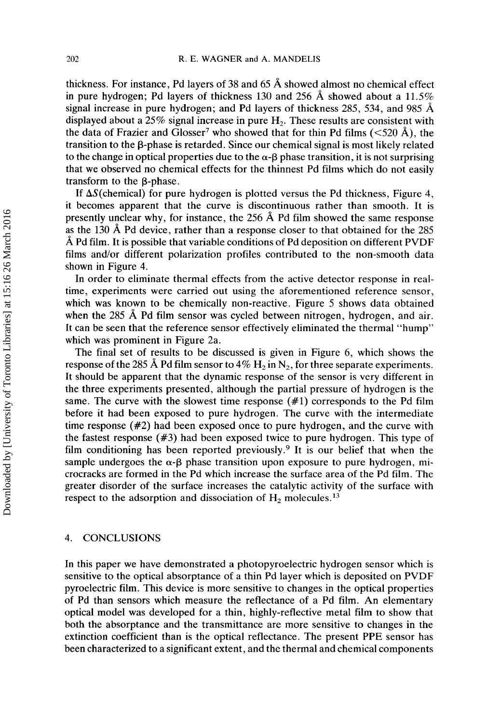thickness. For instance, Pd layers of **38** and **65** A showed almost no chemical effect in pure hydrogen; Pd layers of thickness **130** and **256** A showed about a 11.5% signal increase in pure hydrogen; and Pd layers of thickness **285, 534,** and **985** A displayed about a **25%** signal increase in pure H,. These results are consistent with the data of Frazier and Glosser<sup>7</sup> who showed that for thin Pd films  $(<520 \text{ Å})$ , the transition to the  $\beta$ -phase is retarded. Since our chemical signal is most likely related to the change in optical properties due to the  $\alpha$ - $\beta$  phase transition, it is not surprising that we observed no chemical effects for the thinnest Pd films which do not easily transform to the B-phase.

If  $\Delta S$ (chemical) for pure hydrogen is plotted versus the Pd thickness, Figure 4, it becomes apparent that the curve is discontinuous rather than smooth. It is presently unclear why, for instance, the **256** A Pd film showed the same response as the 130 **A** Pd device, rather than a response closer to that obtained for the **285 A** Pd film. It is possible that variable conditions of Pd deposition on different PVDF films and/or different polarization profiles contributed to the non-smooth data shown in Figure **4.** 

In order to eliminate thermal effects from the active detector response in realtime, experiments were carried out using the aforementioned reference sensor, which was known to be chemically non-reactive. Figure **5** shows data obtained when the 285 Å Pd film sensor was cycled between nitrogen, hydrogen, and air. It can be seen that the reference sensor effectively eliminated the thermal "hump" which was prominent in Figure 2a.

The final set of results to be discussed is given in Figure **6,** which shows the response of the 285  $\AA$  Pd film sensor to 4%  $H_2$  in  $N_2$ , for three separate experiments. It should be apparent that the dynamic response of the sensor is very different in the three experiments presented, although the partial pressure of hydrogen is the same. The curve with the slowest time response  $(\#1)$  corresponds to the Pd film before it had been exposed to pure hydrogen. The curve with the intermediate time response **(#2)** had been exposed once to pure hydrogen, and the curve with the fastest response *(#3)* had been exposed twice to pure hydrogen. This type of film conditioning has been reported previously.<sup>9</sup> It is our belief that when the sample undergoes the  $\alpha$ - $\beta$  phase transition upon exposure to pure hydrogen, microcracks are formed in the Pd which increase the surface area of the Pd film. The greater disorder of the surface increases the catalytic activity of the surface with respect to the adsorption and dissociation of  $H_2$  molecules.<sup>13</sup>

## **4. CONCLUSIONS**

In this paper we have demonstrated a photopyroelectric hydrogen sensor which is sensitive to the optical absorptance of a thin Pd layer which is deposited on PVDF pyroelectric film. This device is more sensitive to changes in the optical properties of Pd than sensors which measure the reflectance of a Pd film. An elementary optical model was developed for a thin, highly-reflective metal film to show that both the absorptance and the transmittance are more sensitive to changes in the extinction coefficient than is the optical reflectance. The present PPE sensor has been characterized to a significant extent, and the thermal and chemical components